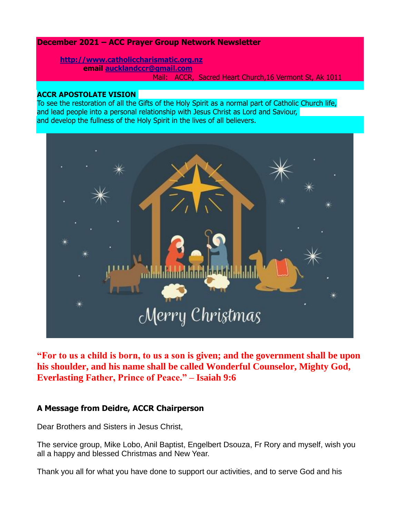# **December 2021 – ACC Prayer Group Network Newsletter**

**[http://www.catholiccharismatic.org.nz](http://www.catholiccharismatic.org.nz/)  email [aucklandccr@gmail.com](mailto:aucklandccr@gmail.com)**

Mail: ACCR, Sacred Heart Church,16 Vermont St, Ak 1011

## **ACCR APOSTOLATE VISION**

To see the restoration of all the Gifts of the Holy Spirit as a normal part of Catholic Church life, and lead people into a personal relationship with Jesus Christ as Lord and Saviour, and develop the fullness of the Holy Spirit in the lives of all believers.



**"For to us a child is born, to us a son is given; and the government shall be upon his shoulder, and his name shall be called Wonderful Counselor, Mighty God, Everlasting Father, Prince of Peace." – Isaiah 9:6**

## **A Message from Deidre, ACCR Chairperson**

Dear Brothers and Sisters in Jesus Christ,

The service group, Mike Lobo, Anil Baptist, Engelbert Dsouza, Fr Rory and myself, wish you all a happy and blessed Christmas and New Year.

Thank you all for what you have done to support our activities, and to serve God and his